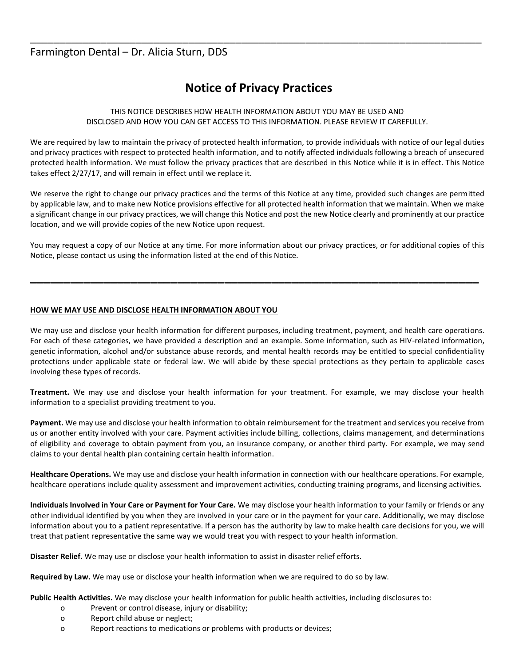# Farmington Dental – Dr. Alicia Sturn, DDS

# **Notice of Privacy Practices**

\_\_\_\_\_\_\_\_\_\_\_\_\_\_\_\_\_\_\_\_\_\_\_\_\_\_\_\_\_\_\_\_\_\_\_\_\_\_\_\_\_\_\_\_\_\_\_\_\_\_\_\_\_\_\_\_\_\_\_\_\_\_\_\_\_\_\_\_\_\_\_\_\_\_\_\_\_

# THIS NOTICE DESCRIBES HOW HEALTH INFORMATION ABOUT YOU MAY BE USED AND DISCLOSED AND HOW YOU CAN GET ACCESS TO THIS INFORMATION. PLEASE REVIEW IT CAREFULLY.

We are required by law to maintain the privacy of protected health information, to provide individuals with notice of our legal duties and privacy practices with respect to protected health information, and to notify affected individuals following a breach of unsecured protected health information. We must follow the privacy practices that are described in this Notice while it is in effect. This Notice takes effect 2/27/17, and will remain in effect until we replace it.

We reserve the right to change our privacy practices and the terms of this Notice at any time, provided such changes are permitted by applicable law, and to make new Notice provisions effective for all protected health information that we maintain. When we make a significant change in our privacy practices, we will change this Notice and post the new Notice clearly and prominently at our practice location, and we will provide copies of the new Notice upon request.

You may request a copy of our Notice at any time. For more information about our privacy practices, or for additional copies of this Notice, please contact us using the information listed at the end of this Notice.

**\_\_\_\_\_\_\_\_\_\_\_\_\_\_\_\_\_\_\_\_\_\_\_\_\_\_\_\_\_\_\_\_\_\_\_\_\_\_\_\_\_\_\_\_\_\_\_\_\_\_\_\_\_\_\_\_\_\_\_\_\_\_\_\_\_\_\_**

#### **HOW WE MAY USE AND DISCLOSE HEALTH INFORMATION ABOUT YOU**

We may use and disclose your health information for different purposes, including treatment, payment, and health care operations. For each of these categories, we have provided a description and an example. Some information, such as HIV-related information, genetic information, alcohol and/or substance abuse records, and mental health records may be entitled to special confidentiality protections under applicable state or federal law. We will abide by these special protections as they pertain to applicable cases involving these types of records.

**Treatment.** We may use and disclose your health information for your treatment. For example, we may disclose your health information to a specialist providing treatment to you.

**Payment.** We may use and disclose your health information to obtain reimbursement for the treatment and services you receive from us or another entity involved with your care. Payment activities include billing, collections, claims management, and determinations of eligibility and coverage to obtain payment from you, an insurance company, or another third party. For example, we may send claims to your dental health plan containing certain health information.

**Healthcare Operations.** We may use and disclose your health information in connection with our healthcare operations. For example, healthcare operations include quality assessment and improvement activities, conducting training programs, and licensing activities.

**Individuals Involved in Your Care or Payment for Your Care.** We may disclose your health information to your family or friends or any other individual identified by you when they are involved in your care or in the payment for your care. Additionally, we may disclose information about you to a patient representative. If a person has the authority by law to make health care decisions for you, we will treat that patient representative the same way we would treat you with respect to your health information.

**Disaster Relief.** We may use or disclose your health information to assist in disaster relief efforts.

**Required by Law.** We may use or disclose your health information when we are required to do so by law.

**Public Health Activities.** We may disclose your health information for public health activities, including disclosures to:

- o Prevent or control disease, injury or disability;
- o Report child abuse or neglect;
- o Report reactions to medications or problems with products or devices;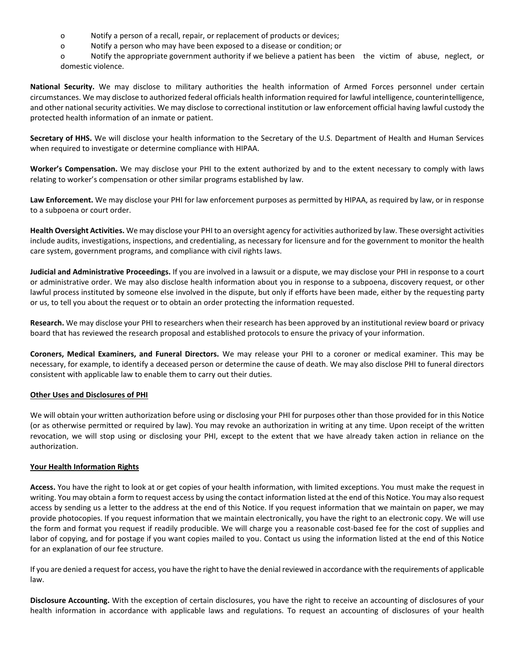- o Notify a person of a recall, repair, or replacement of products or devices;
- o Notify a person who may have been exposed to a disease or condition; or
- o Notify the appropriate government authority if we believe a patient has been the victim of abuse, neglect, or domestic violence.

**National Security.** We may disclose to military authorities the health information of Armed Forces personnel under certain circumstances. We may disclose to authorized federal officials health information required for lawful intelligence, counterintelligence, and other national security activities. We may disclose to correctional institution or law enforcement official having lawful custody the protected health information of an inmate or patient.

**Secretary of HHS.** We will disclose your health information to the Secretary of the U.S. Department of Health and Human Services when required to investigate or determine compliance with HIPAA.

**Worker's Compensation.** We may disclose your PHI to the extent authorized by and to the extent necessary to comply with laws relating to worker's compensation or other similar programs established by law.

**Law Enforcement.** We may disclose your PHI for law enforcement purposes as permitted by HIPAA, as required by law, or in response to a subpoena or court order.

**Health Oversight Activities.** We may disclose your PHI to an oversight agency for activities authorized by law. These oversight activities include audits, investigations, inspections, and credentialing, as necessary for licensure and for the government to monitor the health care system, government programs, and compliance with civil rights laws.

**Judicial and Administrative Proceedings.** If you are involved in a lawsuit or a dispute, we may disclose your PHI in response to a court or administrative order. We may also disclose health information about you in response to a subpoena, discovery request, or other lawful process instituted by someone else involved in the dispute, but only if efforts have been made, either by the requesting party or us, to tell you about the request or to obtain an order protecting the information requested.

**Research.** We may disclose your PHI to researchers when their research has been approved by an institutional review board or privacy board that has reviewed the research proposal and established protocols to ensure the privacy of your information.

**Coroners, Medical Examiners, and Funeral Directors.** We may release your PHI to a coroner or medical examiner. This may be necessary, for example, to identify a deceased person or determine the cause of death. We may also disclose PHI to funeral directors consistent with applicable law to enable them to carry out their duties.

## **Other Uses and Disclosures of PHI**

We will obtain your written authorization before using or disclosing your PHI for purposes other than those provided for in this Notice (or as otherwise permitted or required by law). You may revoke an authorization in writing at any time. Upon receipt of the written revocation, we will stop using or disclosing your PHI, except to the extent that we have already taken action in reliance on the authorization.

#### **Your Health Information Rights**

**Access.** You have the right to look at or get copies of your health information, with limited exceptions. You must make the request in writing. You may obtain a form to request access by using the contact information listed at the end of this Notice. You may also request access by sending us a letter to the address at the end of this Notice. If you request information that we maintain on paper, we may provide photocopies. If you request information that we maintain electronically, you have the right to an electronic copy. We will use the form and format you request if readily producible. We will charge you a reasonable cost-based fee for the cost of supplies and labor of copying, and for postage if you want copies mailed to you. Contact us using the information listed at the end of this Notice for an explanation of our fee structure.

If you are denied a request for access, you have the right to have the denial reviewed in accordance with the requirements of applicable law.

**Disclosure Accounting.** With the exception of certain disclosures, you have the right to receive an accounting of disclosures of your health information in accordance with applicable laws and regulations. To request an accounting of disclosures of your health